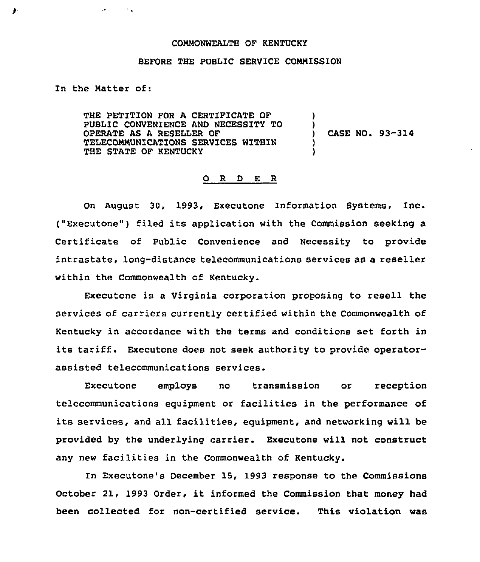## COMMONWEALTH OF KENTUCKY

## BEFORE THE PUBLIC SERVICE CONNISSION

In the Natter of:

 $\bullet$ 

 $\sim$  .

THE PETITION FOR A CERTIFICATE OF PUBLIC CONVENIENCE AND NECESSITY TO OPERATE AS A RESELLER OF TELECOMMUNICATIONS SERVICES WITHIN THE STATE OF KENTUCKY

) CASE NO. 93-314

) )

) )

## 0 R <sup>D</sup> E R

On August 30, 1993, Executone Information Systems, Inc. ("Executone") filed its application with the Commission seeking a Certificate of Public Convenience and Necessity to provide intrastate, long-distance telecommunications services as a reseller within the Commonwealth of Kentucky.

Executone is a Virginia corporation proposing to resell the services of carriers currently certified within the Commonwealth of Kentucky in accordance with the terms and conditions set forth in its tariff. Executone does not seek authority to provide operatorassisted telecommunications services.

Executone employs no transmission or reception telecommunications equipment or facilities in the performance of its services, and all facilities, equipment, and networking will be provided by the underlying carrier. Executone will not construct any new facilities in the Commonwealth of Kentucky.

In Executone's December 15, 1993 response to the Commissions October 21, 1993 Order, it informed the Commission that money had been collected for non-certified service. This violation was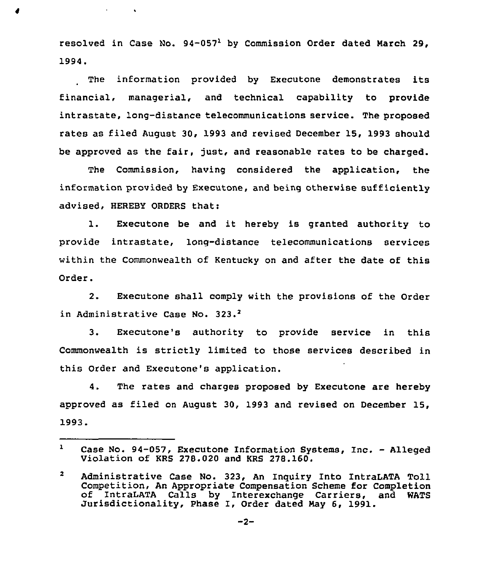resolved in Case No.  $94-057<sup>1</sup>$  by Commission Order dated March 29. 1994.

 $\sigma_{\rm{max}}=0.01$ 

The information provided by Executone demonstrates its financial, managerial, and technical capability to provide intrastate, long-distance telecommunications service. The proposed rates as filed August 30, 1993 and revised December 15, 1993 should be approved as the fair, just, and reasonable rates to be charged.

The Commission, having considered the application, the information provided by Executone, and being otherwise sufficiently advised, HEREBY ORDERS that:

l. Executone be and it hereby is granted authority to provide intrastate, long-distance telecommunications services within the Commonwealth of Kentucky on and after the date of this Order.

2. Executone shall comply with the provisions of the Order in Administrative Case No. 323.<sup>2</sup>

Executone's authority to provide service in this  $3<sub>1</sub>$ Commonwealth is strictly limited to those services described in this Order and Executone's application.

4. The rates and charges proposed by Executone are hereby approved as filed on August 30, 1993 and revised on December 15, 1993.

 $\mathbf{1}$ Case No. 94-057, Executone Information Systems, Inc. - Alleged Violation of KRS 278.020 and KRS 278.160.

 $\mathbf{2}$ Administrative Case No. 323, An Inguiry Into IntraLATA Toll of IntraLATA Calls by Interexchange Carriers, and WATS<br>Jurisdictionality, Phase I, Order dated May 6, 1991.